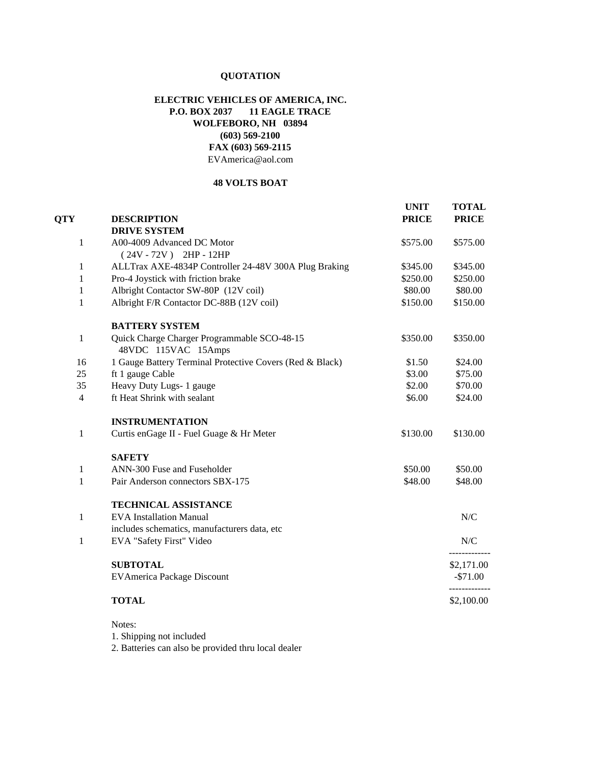## **QUOTATION**

## **ELECTRIC VEHICLES OF AMERICA, INC. P.O. BOX 2037 11 EAGLE TRACE WOLFEBORO, NH 03894 (603) 569-2100 [FAX \(603\) 569-2115](mailto:EVAmerica@aol.com)** EVAmerica@aol.com

## **48 VOLTS BOAT**

| <b>QTY</b>     | <b>DESCRIPTION</b>                                                 | <b>UNIT</b><br><b>PRICE</b> | <b>TOTAL</b><br><b>PRICE</b> |
|----------------|--------------------------------------------------------------------|-----------------------------|------------------------------|
|                | <b>DRIVE SYSTEM</b>                                                |                             |                              |
| 1              | A00-4009 Advanced DC Motor                                         | \$575.00                    | \$575.00                     |
|                | $(24V - 72V)$ 2HP - 12HP                                           |                             |                              |
| 1              | ALLTrax AXE-4834P Controller 24-48V 300A Plug Braking              | \$345.00                    | \$345.00                     |
| 1              | Pro-4 Joystick with friction brake                                 | \$250.00                    | \$250.00                     |
| 1              | Albright Contactor SW-80P (12V coil)                               | \$80.00                     | \$80.00                      |
| 1              | Albright F/R Contactor DC-88B (12V coil)                           | \$150.00                    | \$150.00                     |
|                | <b>BATTERY SYSTEM</b>                                              |                             |                              |
| $\mathbf{1}$   | Quick Charge Charger Programmable SCO-48-15<br>48VDC 115VAC 15Amps | \$350.00                    | \$350.00                     |
| 16             | 1 Gauge Battery Terminal Protective Covers (Red & Black)           | \$1.50                      | \$24.00                      |
| 25             | ft 1 gauge Cable                                                   | \$3.00                      | \$75.00                      |
| 35             | Heavy Duty Lugs- 1 gauge                                           | \$2.00                      | \$70.00                      |
| $\overline{4}$ | ft Heat Shrink with sealant                                        | \$6.00                      | \$24.00                      |
|                | <b>INSTRUMENTATION</b>                                             |                             |                              |
| 1              | Curtis enGage II - Fuel Guage & Hr Meter                           | \$130.00                    | \$130.00                     |
|                | <b>SAFETY</b>                                                      |                             |                              |
| 1              | ANN-300 Fuse and Fuseholder                                        | \$50.00                     | \$50.00                      |
| $\mathbf{1}$   | Pair Anderson connectors SBX-175                                   | \$48.00                     | \$48.00                      |
|                | <b>TECHNICAL ASSISTANCE</b>                                        |                             |                              |
| 1              | <b>EVA</b> Installation Manual                                     |                             | N/C                          |
|                | includes schematics, manufacturers data, etc                       |                             |                              |
| 1              | EVA "Safety First" Video                                           |                             | N/C                          |
|                | <b>SUBTOTAL</b>                                                    |                             | \$2,171.00                   |
|                | <b>EVAmerica Package Discount</b>                                  |                             | $-$71.00$                    |
|                | <b>TOTAL</b>                                                       |                             | \$2,100.00                   |

Notes:

1. Shipping not included

2. Batteries can also be provided thru local dealer